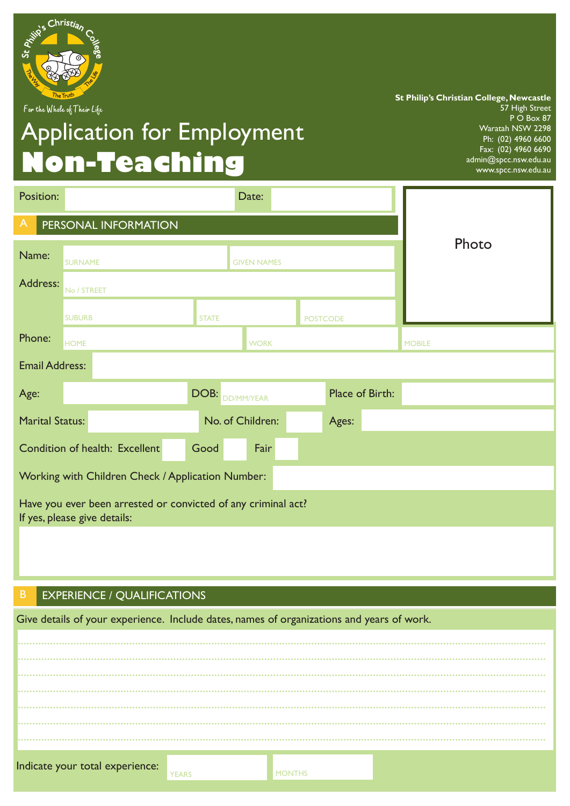

For the Whole of Their Life

# Application for Employment **Non-Teaching**

**St Philip's Christian College, Newcastle** 57 High Street P O Box 87 Waratah NSW 2298 Ph: (02) 4960 6600 Fax: (02) 4960 6690 admin@spcc.nsw.edu.au www.spcc.nsw.edu.au

| Position:                                                                                     | Date:                          |                  |                    |                 |       |                 |               |
|-----------------------------------------------------------------------------------------------|--------------------------------|------------------|--------------------|-----------------|-------|-----------------|---------------|
| A                                                                                             | PERSONAL INFORMATION           |                  |                    |                 |       |                 |               |
| Name:                                                                                         | <b>SURNAME</b>                 |                  | <b>GIVEN NAMES</b> |                 |       |                 | Photo         |
| Address:                                                                                      | No / STREET                    |                  |                    |                 |       |                 |               |
|                                                                                               | <b>SUBURB</b>                  | <b>STATE</b>     |                    | <b>POSTCODE</b> |       |                 |               |
| Phone:                                                                                        | <b>HOME</b>                    |                  | <b>WORK</b>        |                 |       |                 | <b>MOBILE</b> |
| <b>Email Address:</b>                                                                         |                                |                  |                    |                 |       |                 |               |
| Age:                                                                                          |                                | DOB:             | DD/MM/YEAR         |                 |       | Place of Birth: |               |
| <b>Marital Status:</b>                                                                        |                                | No. of Children: |                    |                 | Ages: |                 |               |
|                                                                                               | Condition of health: Excellent | Good             | Fair               |                 |       |                 |               |
| Working with Children Check / Application Number:                                             |                                |                  |                    |                 |       |                 |               |
| Have you ever been arrested or convicted of any criminal act?<br>If yes, please give details: |                                |                  |                    |                 |       |                 |               |
|                                                                                               |                                |                  |                    |                 |       |                 |               |

## B EXPERIENCE / QUALIFICATIONS

Give details of your experience. Include dates, names of organizations and years of work.

| Indicate your total experience: | YEARS | <b>MONTHS</b> |  |
|---------------------------------|-------|---------------|--|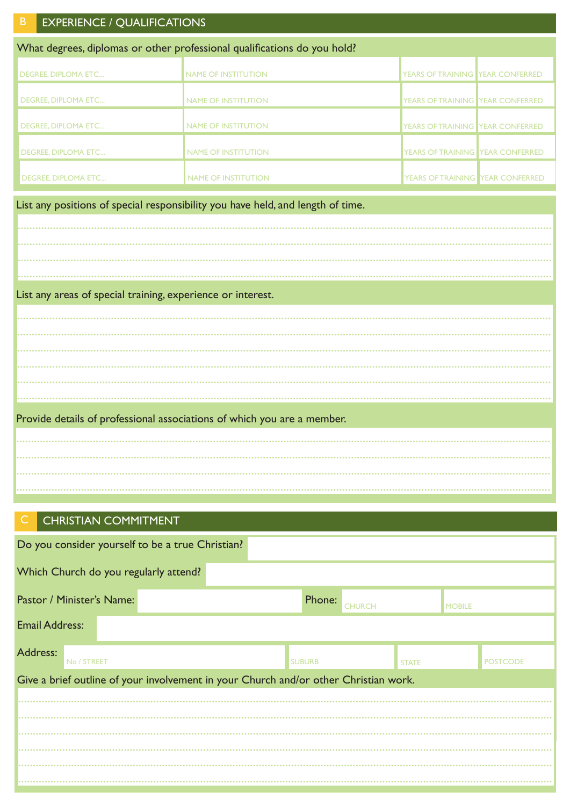| <b>EXPERIENCE / QUALIFICATIONS</b><br>$\mathsf B$           |                                                                                 |                                  |  |  |  |  |  |
|-------------------------------------------------------------|---------------------------------------------------------------------------------|----------------------------------|--|--|--|--|--|
|                                                             | What degrees, diplomas or other professional qualifications do you hold?        |                                  |  |  |  |  |  |
| <b>DEGREE, DIPLOMA ETC</b>                                  | <b>NAME OF INSTITUTION</b>                                                      | YEARS OF TRAINING YEAR CONFERRED |  |  |  |  |  |
| <b>DEGREE, DIPLOMA ETC</b>                                  | <b>NAME OF INSTITUTION</b>                                                      | YEARS OF TRAINING YEAR CONFERRED |  |  |  |  |  |
| <b>DEGREE, DIPLOMA ETC</b>                                  | <b>NAME OF INSTITUTION</b>                                                      | YEARS OF TRAINING YEAR CONFERRED |  |  |  |  |  |
| <b>DEGREE, DIPLOMA ETC</b>                                  | <b>NAME OF INSTITUTION</b>                                                      | YEARS OF TRAINING YEAR CONFERRED |  |  |  |  |  |
| DEGREE, DIPLOMA ETC                                         | <b>NAME OF INSTITUTION</b>                                                      | YEARS OF TRAINING YEAR CONFERRED |  |  |  |  |  |
|                                                             | List any positions of special responsibility you have held, and length of time. |                                  |  |  |  |  |  |
|                                                             |                                                                                 |                                  |  |  |  |  |  |
|                                                             |                                                                                 |                                  |  |  |  |  |  |
|                                                             |                                                                                 |                                  |  |  |  |  |  |
|                                                             |                                                                                 |                                  |  |  |  |  |  |
| List any areas of special training, experience or interest. |                                                                                 |                                  |  |  |  |  |  |
|                                                             |                                                                                 |                                  |  |  |  |  |  |
|                                                             |                                                                                 |                                  |  |  |  |  |  |
|                                                             |                                                                                 |                                  |  |  |  |  |  |
|                                                             |                                                                                 |                                  |  |  |  |  |  |
|                                                             |                                                                                 |                                  |  |  |  |  |  |
|                                                             |                                                                                 |                                  |  |  |  |  |  |
|                                                             | Provide details of professional associations of which you are a member.         |                                  |  |  |  |  |  |
|                                                             |                                                                                 |                                  |  |  |  |  |  |
|                                                             |                                                                                 |                                  |  |  |  |  |  |
|                                                             |                                                                                 |                                  |  |  |  |  |  |

## CHRISTIAN COMMITMENT

|                                       | Do you consider yourself to be a true Christian? |                                                                                      |                         |              |                 |  |
|---------------------------------------|--------------------------------------------------|--------------------------------------------------------------------------------------|-------------------------|--------------|-----------------|--|
| Which Church do you regularly attend? |                                                  |                                                                                      |                         |              |                 |  |
| Pastor / Minister's Name:             |                                                  |                                                                                      | Phone:<br><b>CHURCH</b> |              | <b>MOBILE</b>   |  |
| <b>Email Address:</b>                 |                                                  |                                                                                      |                         |              |                 |  |
| Address:<br>No / STREET               |                                                  |                                                                                      | <b>SUBURB</b>           | <b>STATE</b> | <b>POSTCODE</b> |  |
|                                       |                                                  | Give a brief outline of your involvement in your Church and/or other Christian work. |                         |              |                 |  |
|                                       |                                                  |                                                                                      |                         |              |                 |  |
|                                       |                                                  |                                                                                      |                         |              |                 |  |
|                                       |                                                  |                                                                                      |                         |              |                 |  |
|                                       |                                                  |                                                                                      |                         |              |                 |  |
|                                       |                                                  |                                                                                      |                         |              |                 |  |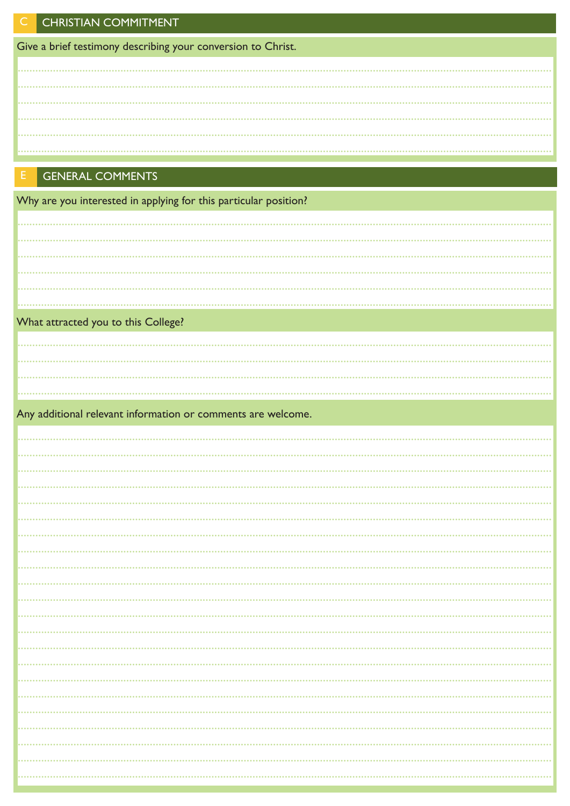Give a brief testimony describing your conversion to Christ.

## **GENERAL COMMENTS**

Why are you interested in applying for this particular position?

| What attracted you to this College?                          |  |
|--------------------------------------------------------------|--|
|                                                              |  |
|                                                              |  |
|                                                              |  |
|                                                              |  |
| Any additional relevant information or comments are welcome. |  |
|                                                              |  |
|                                                              |  |
|                                                              |  |
|                                                              |  |
|                                                              |  |
|                                                              |  |
|                                                              |  |
|                                                              |  |
|                                                              |  |
|                                                              |  |
|                                                              |  |
|                                                              |  |
| .                                                            |  |
|                                                              |  |
|                                                              |  |
|                                                              |  |
|                                                              |  |
| .                                                            |  |
|                                                              |  |
|                                                              |  |
|                                                              |  |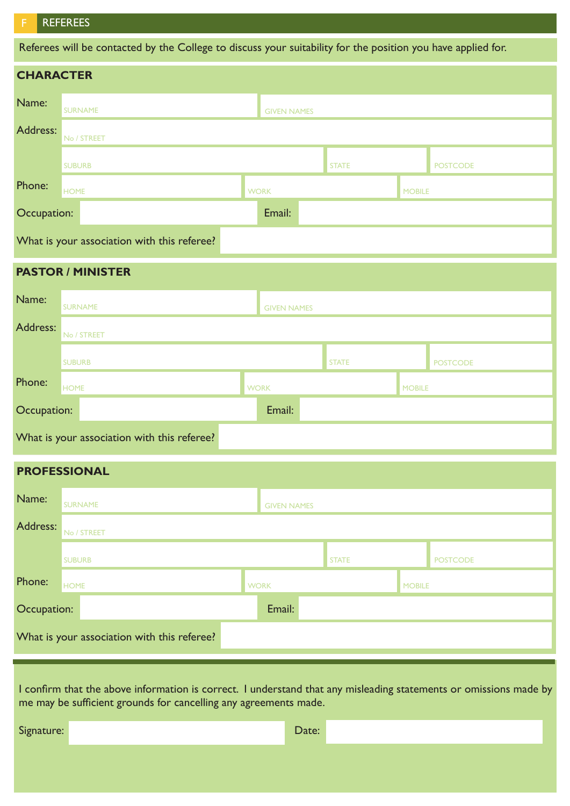#### **REFEREES**

Referees will be contacted by the College to discuss your suitability for the position you have applied for.

|                                             | <b>CHARACTER</b> |                    |              |                 |  |  |
|---------------------------------------------|------------------|--------------------|--------------|-----------------|--|--|
| Name:                                       | <b>SURNAME</b>   | <b>GIVEN NAMES</b> |              |                 |  |  |
| Address:                                    | No / STREET      |                    |              |                 |  |  |
|                                             | <b>SUBURB</b>    |                    | <b>STATE</b> | <b>POSTCODE</b> |  |  |
| Phone:                                      | <b>HOME</b>      | <b>WORK</b>        |              | <b>MOBILE</b>   |  |  |
| Occupation:                                 |                  | Email:             |              |                 |  |  |
| What is your association with this referee? |                  |                    |              |                 |  |  |

### **PASTOR / MINISTER**

| Name:                                       | <b>SURNAME</b> | <b>GIVEN NAMES</b> |              |               |                 |
|---------------------------------------------|----------------|--------------------|--------------|---------------|-----------------|
| Address:                                    | No / STREET    |                    |              |               |                 |
|                                             | <b>SUBURB</b>  |                    | <b>STATE</b> |               | <b>POSTCODE</b> |
| Phone:                                      | <b>HOME</b>    | <b>WORK</b>        |              | <b>MOBILE</b> |                 |
| Occupation:                                 |                | Email:             |              |               |                 |
| What is your association with this referee? |                |                    |              |               |                 |

### **PROFESSIONAL**

| Name:                                       | <b>SURNAME</b> | <b>GIVEN NAMES</b> |              |               |                 |
|---------------------------------------------|----------------|--------------------|--------------|---------------|-----------------|
| Address:                                    | No / STREET    |                    |              |               |                 |
|                                             | <b>SUBURB</b>  |                    | <b>STATE</b> |               | <b>POSTCODE</b> |
| Phone:                                      | <b>HOME</b>    | <b>WORK</b>        |              | <b>MOBILE</b> |                 |
| Occupation:                                 |                | Email:             |              |               |                 |
| What is your association with this referee? |                |                    |              |               |                 |

I confirm that the above information is correct. I understand that any misleading statements or omissions made by me may be sufficient grounds for cancelling any agreements made.

Signature: Date: Date: Date: Date: Date: Date: Date: Date: Date: Date: Date: Date: Date: Date: Date: Date: Date: Date: Date: Date: Date: Date: Date: Date: Date: Date: Date: Date: Date: Date: Date: Date: Date: Date: Date: D